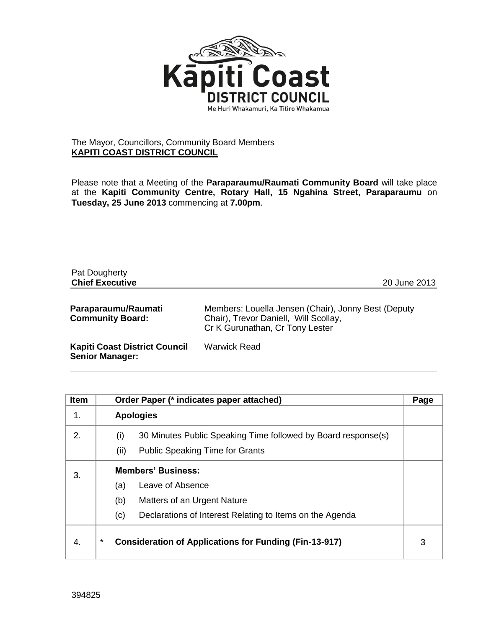

## The Mayor, Councillors, Community Board Members **KAPITI COAST DISTRICT COUNCIL**

Please note that a Meeting of the **Paraparaumu/Raumati Community Board** will take place at the **Kapiti Community Centre, Rotary Hall, 15 Ngahina Street, Paraparaumu** on **Tuesday, 25 June 2013** commencing at **7.00pm**.

| Pat Dougherty<br><b>Chief Executive</b>                        | 20 June 2013                                                                                                                    |
|----------------------------------------------------------------|---------------------------------------------------------------------------------------------------------------------------------|
| Paraparaumu/Raumati<br><b>Community Board:</b>                 | Members: Louella Jensen (Chair), Jonny Best (Deputy<br>Chair), Trevor Daniell, Will Scollay,<br>Cr K Gurunathan, Cr Tony Lester |
| <b>Kapiti Coast District Council</b><br><b>Senior Manager:</b> | <b>Warwick Read</b>                                                                                                             |

| <b>Item</b> | Order Paper (* indicates paper attached)                                                                               | Page |
|-------------|------------------------------------------------------------------------------------------------------------------------|------|
| 1.          | <b>Apologies</b>                                                                                                       |      |
| 2.          | 30 Minutes Public Speaking Time followed by Board response(s)<br>(i)<br>(ii)<br><b>Public Speaking Time for Grants</b> |      |
| 3.          | <b>Members' Business:</b>                                                                                              |      |
|             | Leave of Absence<br>(a)                                                                                                |      |
|             | (b)<br>Matters of an Urgent Nature                                                                                     |      |
|             | Declarations of Interest Relating to Items on the Agenda<br>(c)                                                        |      |
| 4.          | *<br><b>Consideration of Applications for Funding (Fin-13-917)</b>                                                     | 3    |